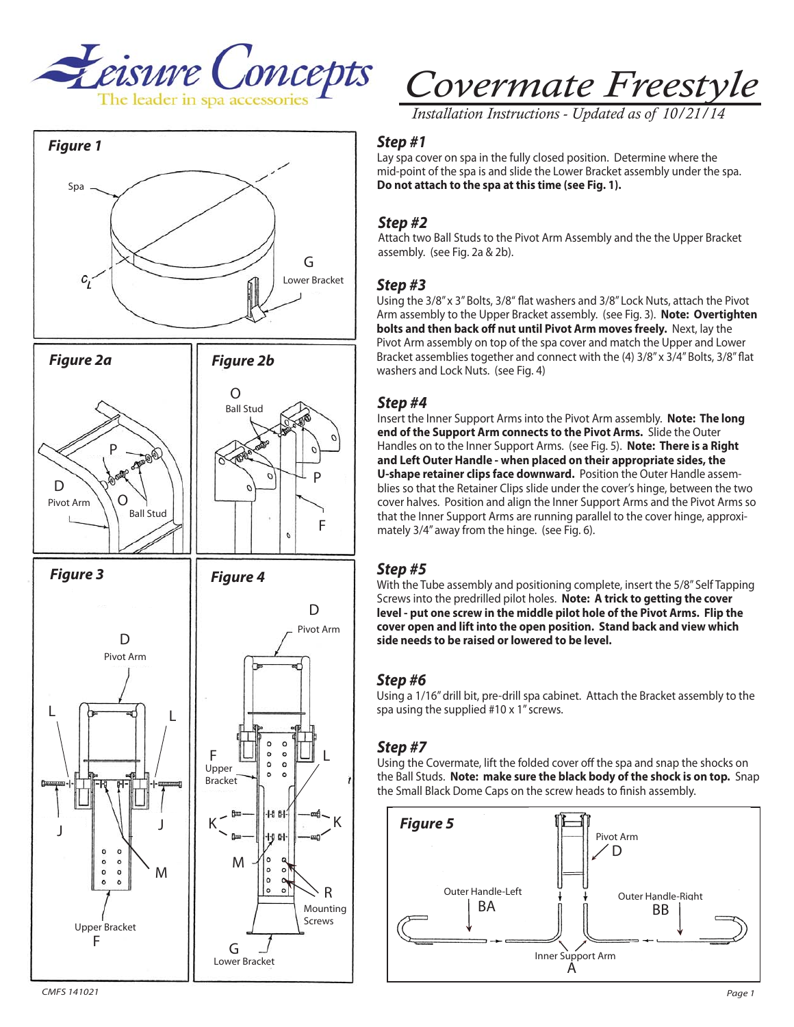



# *Covermate Freestyle*

*Installation Instructions - Updated as of 10/21* 

*Step #1* Lay spa cover on spa in the fully closed position. Determine where the mid-point of the spa is and slide the Lower Bracket assembly under the spa. **Do not attach to the spa at this time (see Fig. 1).**

*Step #2* Attach two Ball Studs to the Pivot Arm Assembly and the the Upper Bracket assembly. (see Fig. 2a & 2b).

*Step #3* Using the 3/8" x 3" Bolts, 3/8" flat washers and 3/8" Lock Nuts, attach the Pivot Arm assembly to the Upper Bracket assembly. (see Fig. 3). **Note: Overtighten bolts and then back off nut until Pivot Arm moves freely.** Next, lay the Pivot Arm assembly on top of the spa cover and match the Upper and Lower Bracket assemblies together and connect with the (4) 3/8" x 3/4" Bolts, 3/8" flat washers and Lock Nuts. (see Fig. 4)

*Step #4* Insert the Inner Support Arms into the Pivot Arm assembly. **Note: The long end of the Support Arm connects to the Pivot Arms.** Slide the Outer Handles on to the Inner Support Arms. (see Fig. 5). **Note: There is a Right and Left Outer Handle - when placed on their appropriate sides, the U-shape retainer clips face downward.** Position the Outer Handle assemblies so that the Retainer Clips slide under the cover's hinge, between the two cover halves. Position and align the Inner Support Arms and the Pivot Arms so that the Inner Support Arms are running parallel to the cover hinge, approximately 3/4" away from the hinge. (see Fig. 6).

*Step #5* With the Tube assembly and positioning complete, insert the 5/8" Self Tapping Screws into the predrilled pilot holes. **Note: A trick to getting the cover level - put one screw in the middle pilot hole of the Pivot Arms. Flip the cover open and lift into the open position. Stand back and view which side needs to be raised or lowered to be level.**

## Step#6

*Step #6* Using a 1/16" drill bit, pre-drill spa cabinet. Attach the Bracket assembly to the spa using the supplied #10 x 1" screws.

*Step #7* Using the Covermate, lift the folded cover off the spa and snap the shocks on the Ball Studs. **Note: make sure the black body of the shock is on top.** Snap the Small Black Dome Caps on the screw heads to finish assembly.